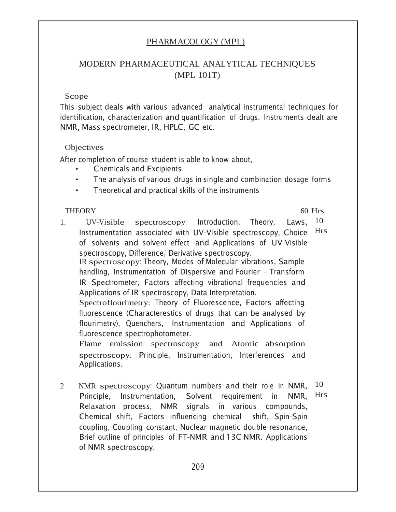## <u>PHARMACOLOGY (MPL)</u>

## MODERN PHARMACEUTICAL ANALYTICAL TECHNIQUES (MPL 101T)

#### Scope

This subject deals with various advanced analytical instrumental techniques for identification, characterization and quantification of drugs. Instruments dealt are NMR, Mass spectrometer, IR, HPLC, GC etc.

#### **Objectives**

After completion of course student is able to know about,

- **Chemicals and Excipients**
- The analysis of various drugs in single and combination dosage forms  $\bullet$
- Theoretical and practical skills of the instruments  $\bullet$

#### **THEORY**

 $60$  Hrs

- 10  $1<sup>1</sup>$ UV-Visible spectroscopy: Introduction, Theory. Laws. Instrumentation associated with UV-Visible spectroscopy, Choice Hrs of solvents and solvent effect and Applications of UV-Visible spectroscopy, Difference/ Derivative spectroscopy. IR spectroscopy: Theory, Modes of Molecular vibrations, Sample handling, Instrumentation of Dispersive and Fourier - Transform IR Spectrometer, Factors affecting vibrational frequencies and Applications of IR spectroscopy, Data Interpretation. Spectroflourimetry: Theory of Fluorescence, Factors affecting fluorescence (Characterestics of drugs that can be analysed by flourimetry), Quenchers, Instrumentation and Applications of fluorescence spectrophotometer. Flame emission spectroscopy and Atomic absorption spectroscopy: Principle, Instrumentation, Interferences and Applications.
- 10  $\overline{2}$ NMR spectroscopy: Quantum numbers and their role in NMR, **Hrs** Principle, Instrumentation, Solvent requirement in NMR. Relaxation process, NMR signals in various compounds, Chemical shift, Factors influencing chemical shift, Spin-Spin coupling, Coupling constant, Nuclear magnetic double resonance, Brief outline of principles of FT-NMR and 13C NMR. Applications of NMR spectroscopy.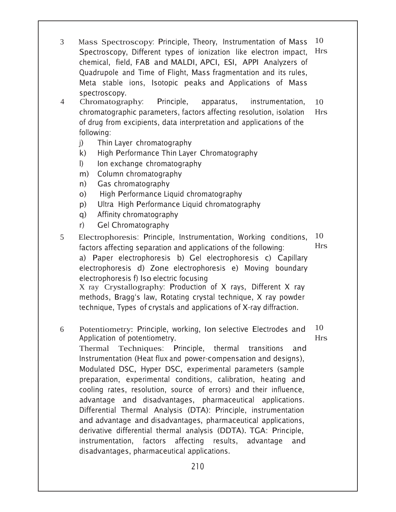- 10 Mass Spectroscopy: Principle, Theory, Instrumentation of Mass  $3<sup>1</sup>$ **Hrs** Spectroscopy, Different types of ionization like electron impact, chemical, field, FAB and MALDI, APCI, ESI, APPI Analyzers of Quadrupole and Time of Flight, Mass fragmentation and its rules, Meta stable ions, Isotopic peaks and Applications of Mass spectroscopy.
- instrumentation,  $\overline{4}$ Chromatography. Principle, apparatus, 10 chromatographic parameters, factors affecting resolution, isolation **Hrs** of drug from excipients, data interpretation and applications of the following:
	- Thin Layer chromatography  $i)$
	- $k)$ High Performance Thin Layer Chromatography
	- $\mathbf{D}$ Ion exchange chromatography
	- Column chromatography  $m$ )
	- Gas chromatography  $n)$
	- $O$ High Performance Liquid chromatography
	- Ultra High Performance Liquid chromatography  $D)$
	- Affinity chromatography  $\alpha$ )
	- Gel Chromatography  $r$ )
- 10 Electrophoresis: Principle, Instrumentation, Working conditions,  $\mathfrak{S}$ Hrs factors affecting separation and applications of the following: a) Paper electrophoresis b) Gel electrophoresis c) Capillary electrophoresis d) Zone electrophoresis e) Moving boundary electrophoresis f) Iso electric focusing X ray Crystallography: Production of X rays, Different X ray methods, Bragg's law, Rotating crystal technique, X ray powder

technique, Types of crystals and applications of X-ray diffraction.

10 Potentiometry: Principle, working, Ion selective Electrodes and 6 **Hrs** Application of potentiometry.

Thermal Techniques: Principle, thermal transitions and Instrumentation (Heat flux and power-compensation and designs), Modulated DSC, Hyper DSC, experimental parameters (sample preparation, experimental conditions, calibration, heating and cooling rates, resolution, source of errors) and their influence, advantage and disadvantages, pharmaceutical applications. Differential Thermal Analysis (DTA): Principle, instrumentation and advantage and disadvantages, pharmaceutical applications, derivative differential thermal analysis (DDTA). TGA: Principle, instrumentation, factors affecting results, advantage and

disadvantages, pharmaceutical applications.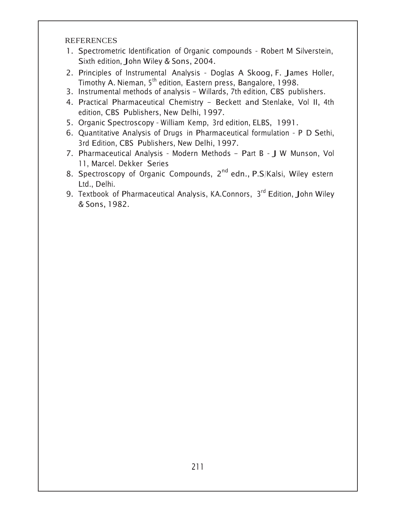- 1. Spectrometric Identification of Organic compounds Robert M Silverstein, Sixth edition, John Wiley & Sons, 2004.
- 2. Principles of Instrumental Analysis Doglas A Skoog, F. James Holler, Timothy A. Nieman, 5<sup>th</sup> edition, Eastern press, Bangalore, 1998.
- 3. Instrumental methods of analysis Willards, 7th edition, CBS publishers.
- 4. Practical Pharmaceutical Chemistry Beckett and Stenlake, Vol II, 4th edition, CBS Publishers, New Delhi, 1997.
- 5. Organic Spectroscopy William Kemp, 3rd edition, ELBS, 1991.
- 6. Quantitative Analysis of Drugs in Pharmaceutical formulation P D Sethi, 3rd Edition, CBS Publishers, New Delhi, 1997.
- 7. Pharmaceutical Analysis Modern Methods Part B J W Munson, Vol 11, Marcel. Dekker Series
- 8. Spectroscopy of Organic Compounds, 2<sup>nd</sup> edn., P.S/Kalsi, Wiley estern Ltd., Delhi.
- 9. Textbook of Pharmaceutical Analysis, KA.Connors, 3rd Edition, John Wiley & Sons, 1982.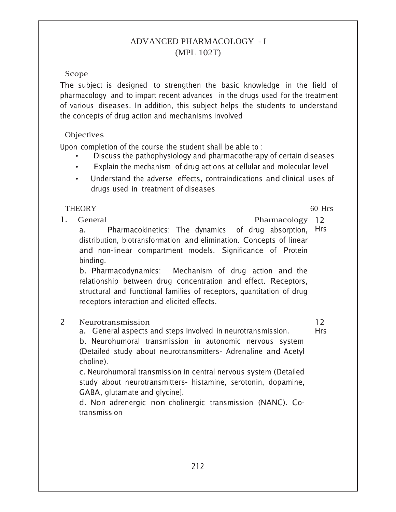## ADVANCED PHARMACOLOGY - I (MPL 102T)

## Scope

The subject is designed to strengthen the basic knowledge in the field of pharmacology and to impart recent advances in the drugs used for the treatment of various diseases. In addition, this subject helps the students to understand the concepts of drug action and mechanisms involved

## Objectives

Upon completion of the course the student shall be able to:

- Discuss the pathophysiology and pharmacotherapy of certain diseases
- Explain the mechanism of drug actions at cellular and molecular level
- Understand the adverse effects, contraindications and clinical uses of drugs used in treatment of diseases

## **THEORY**

 $\mathbf{1}$ . General  $60$  Hrs

Pharmacology 12

Pharmacokinetics: The dynamics of drug absorption, Hrs  $a<sub>z</sub>$ distribution, biotransformation and elimination. Concepts of linear and non-linear compartment models. Significance of Protein binding.

b. Pharmacodynamics: Mechanism of drug action and the relationship between drug concentration and effect. Receptors, structural and functional families of receptors, quantitation of drug receptors interaction and elicited effects.

#### $\overline{2}$ Neurotransmission

a. General aspects and steps involved in neurotransmission.

 $12 \overline{ }$ **Hrs** 

b. Neurohumoral transmission in autonomic nervous system (Detailed study about neurotransmitters- Adrenaline and Acetyl choline).

c. Neurohumoral transmission in central nervous system (Detailed study about neurotransmitters- histamine, serotonin, dopamine, GABA, glutamate and glycine].

d. Non adrenergic non cholinergic transmission (NANC). Cotransmission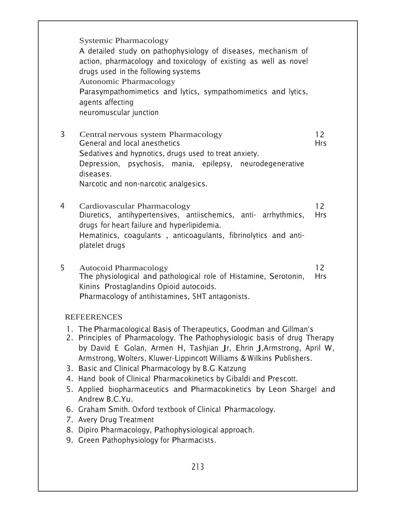|                                                                                                                                                                                                                                                                                                                                                                                                                                                                                                                                                                                                                                                                                                                     | <b>Systemic Pharmacology</b><br>A detailed study on pathophysiology of diseases, mechanism of<br>action, pharmacology and toxicology of existing as well as novel<br>drugs used in the following systems<br><b>Autonomic Pharmacology</b><br>Parasympathomimetics and lytics, sympathomimetics and lytics,<br>agents affecting<br>neuromuscular junction |                                 |  |  |
|---------------------------------------------------------------------------------------------------------------------------------------------------------------------------------------------------------------------------------------------------------------------------------------------------------------------------------------------------------------------------------------------------------------------------------------------------------------------------------------------------------------------------------------------------------------------------------------------------------------------------------------------------------------------------------------------------------------------|----------------------------------------------------------------------------------------------------------------------------------------------------------------------------------------------------------------------------------------------------------------------------------------------------------------------------------------------------------|---------------------------------|--|--|
| 3                                                                                                                                                                                                                                                                                                                                                                                                                                                                                                                                                                                                                                                                                                                   | Central nervous system Pharmacology<br>General and local anesthetics<br>Sedatives and hypnotics, drugs used to treat anxiety.<br>Depression, psychosis, mania, epilepsy, neurodegenerative<br>diseases.<br>Narcotic and non-narcotic analgesics.                                                                                                         | 12<br><b>Hrs</b>                |  |  |
| 4                                                                                                                                                                                                                                                                                                                                                                                                                                                                                                                                                                                                                                                                                                                   | Cardiovascular Pharmacology<br>Diuretics, antihypertensives, antiischemics, anti- arrhythmics,<br>drugs for heart failure and hyperlipidemia.<br>Hematinics, coagulants, anticoagulants, fibrinolytics and anti-<br>platelet drugs                                                                                                                       | 12 <sup>2</sup><br><b>Hrs</b>   |  |  |
| 5                                                                                                                                                                                                                                                                                                                                                                                                                                                                                                                                                                                                                                                                                                                   | <b>Autocoid Pharmacology</b><br>The physiological and pathological role of Histamine, Serotonin,<br>Kinins Prostaglandins Opioid autocoids.<br>Pharmacology of antihistamines, 5HT antagonists.                                                                                                                                                          | $12 \overline{ }$<br><b>Hrs</b> |  |  |
|                                                                                                                                                                                                                                                                                                                                                                                                                                                                                                                                                                                                                                                                                                                     | <b>REFEERENCES</b>                                                                                                                                                                                                                                                                                                                                       |                                 |  |  |
| 1. The Pharmacological Basis of Therapeutics, Goodman and Gillman's<br>2. Principles of Pharmacology. The Pathophysiologic basis of drug Therapy<br>by David E Golan, Armen H, Tashjian Jr, Ehrin J, Armstrong, April W,<br>Armstrong, Wolters, Kluwer-Lippincott Williams & Wilkins Publishers.<br>3. Basic and Clinical Pharmacology by B.G Katzung<br>4. Hand book of Clinical Pharmacokinetics by Gibaldi and Prescott.<br>5. Applied biopharmaceutics and Pharmacokinetics by Leon Shargel and<br>Andrew B.C.Yu.<br>6. Graham Smith. Oxford textbook of Clinical Pharmacology.<br>7. Avery Drug Treatment<br>8. Dipiro Pharmacology, Pathophysiological approach.<br>9. Green Pathophysiology for Pharmacists. |                                                                                                                                                                                                                                                                                                                                                          |                                 |  |  |
| 213                                                                                                                                                                                                                                                                                                                                                                                                                                                                                                                                                                                                                                                                                                                 |                                                                                                                                                                                                                                                                                                                                                          |                                 |  |  |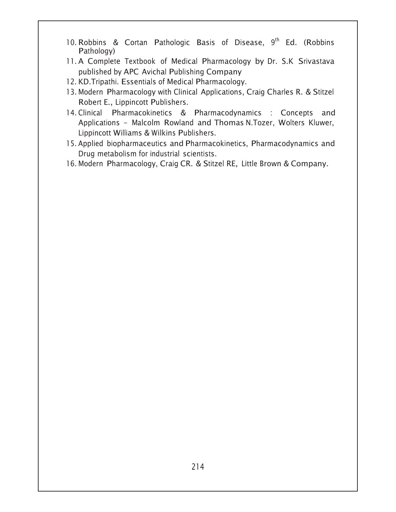- 10. Robbins & Cortan Pathologic Basis of Disease,  $9<sup>th</sup>$  Ed. (Robbins Pathology)
- 11. A Complete Textbook of Medical Pharmacology by Dr. S.K Srivastava published by APC Avichal Publishing Company
- 12. KD. Tripathi. Essentials of Medical Pharmacology.
- 13. Modern Pharmacology with Clinical Applications, Craig Charles R. & Stitzel Robert E., Lippincott Publishers.
- 14. Clinical Pharmacokinetics & Pharmacodynamics : Concepts and Applications - Malcolm Rowland and Thomas<code>N.Tozer, Wolters Kluwer,</code> Lippincott Williams & Wilkins Publishers.
- 15. Applied biopharmaceutics and Pharmacokinetics, Pharmacodynamics and Drug metabolism for industrial scientists.
- 16. Modern Pharmacology, Craig CR. & Stitzel RE, Little Brown & Company.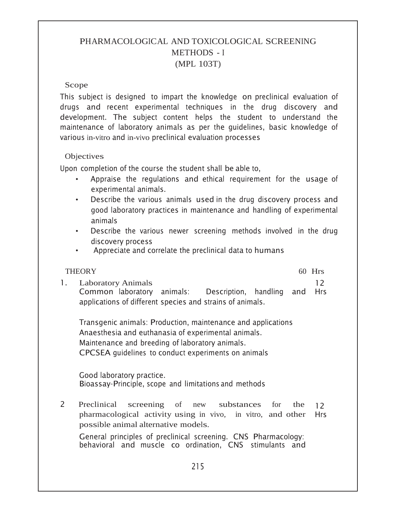# PHARMACOLOGICAL AND TOXICOLOGICAL SCREENING METHODS - I (MPL 103T)

#### Scope

This subject is designed to impart the knowledge on preclinical evaluation of drugs and recent experimental techniques in the drug discovery and development. The subject content helps the student to understand the maintenance of laboratory animals as per the guidelines, basic knowledge of various in-vitro and in-vivo preclinical evaluation processes

#### **Objectives**

Upon completion of the course the student shall be able to,

- Appraise the regulations and ethical requirement for the usage of experimental animals.
- Describe the various animals used in the drug discovery process and good laboratory practices in maintenance and handling of experimental animals
- Describe the various newer screening methods involved in the drug discovery process
- Appreciate and correlate the preclinical data to humans

#### THEORY 60 Hrs  Laboratory Animals Common laboratory animals: Description, handling applications of different species and strains of animals.  $12<sup>°</sup>$ and Hrs

Transgenic animals: Production, maintenance and applications Anaesthesia and euthanasia of experimental animals. Maintenance and breeding of laboratory animals. CPCSEA quidelines to conduct experiments on animals

Good laboratory practice. Bioassay-Principle, scope and limitations and methods

 Preclinical screening of new substances for the pharmacological activity using in vivo, in vitro, and other possible animal alternative models.  $12<sup>2</sup>$ Hrs

General principles of preclinical screening. CNS Pharmacology: behavioral and muscle co ordination, CNS stimulants and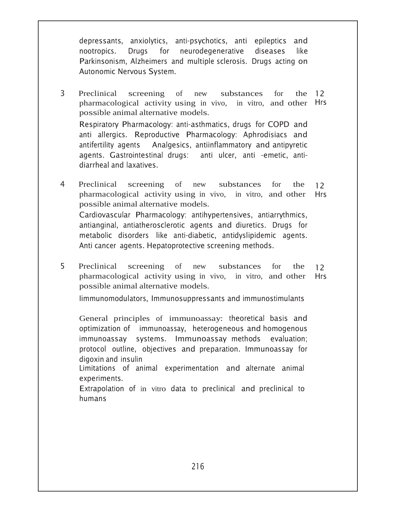depressants, anxiolytics, anti-psychotics, anti epileptics and nootropics. Drugs for neurodegenerative diseases like Parkinsonism, Alzheimers and multiple sclerosis. Drugs acting on Autonomic Nervous System.

- 3 Preclinical screening of new substances for pharmacological activity using in vivo, in vitro, and other Hrs possible animal alternative models. Respiratory Pharmacology: anti-asthmatics, drugs for COPD and anti allergics. Reproductive Pharmacology: Aphrodisiacs and antifertility agents - Analgesics, antiinflammatory and antipyretic agents. Gastrointestinal drugs: anti -emetic, antidiarrheal and laxatives. the  $12$
- Preclinical screening of new substances for the pharmacological activity using in vivo, in vitro, and other possible animal alternative models. Cardiovascular Pharmacology: antihypertensives, antiarrythmics, antianginal, antiatherosclerotic agents and diuretics. Drugs for metabolic disorders like anti-diabetic, antidyslipidemic agents. Anti cancer agents. Hepatoprotective screening methods.  $12<sup>2</sup>$ Hrs
- 5 Preclinical screening of new substances for the pharmacological activity using in vivo, in vitro, and other possible animal alternative models.  $12<sup>2</sup>$ Hrs

limmunomodulators, Immunosuppressants and immunostimulants

General principles of immunoassay: theoretical basis and optimization of ) immunoassay, heterogeneous and homogenous immunoassay systems. Immunoassay methods evaluation; protocol outline, objectives and preparation. Immunoassay for digoxin and insulin

Limitations of animal experimentation and alternate animal experiments.

Extrapolation of in vitro data to preclinical and preclinical to humans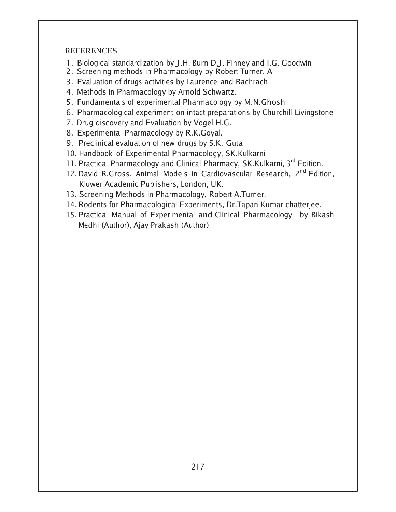- 1. Biological standardization by J.H. Burn D.J. Finney and I.G. Goodwin
- 2. Screening methods in Pharmacology by Robert Turner. A
- 3. Evaluation of drugs activities by Laurence and Bachrach
- 4. Methods in Pharmacology by Arnold Schwartz.
- 5. Fundamentals of experimental Pharmacology by M.N.Ghosh
- 6. Pharmacological experiment on intact preparations by Churchill Livingstone
- 7. Drug discovery and Evaluation by Vogel H.G.
- 8. Experimental Pharmacology by R.K.Goyal.
- 9. Preclinical evaluation of new drugs by S.K. Guta
- 10. Handbook of Experimental Pharmacology, SK.Kulkarni
- 11. Practical Pharmacology and Clinical Pharmacy, SK.Kulkarni, 3rd Edition.
- 12. David R.Gross. Animal Models in Cardiovascular Research, 2nd Edition, Kluwer Academic Publishers, London, UK.
- 13. Screening Methods in Pharmacology, Robert A.Turner.
- 14. Rodents for Pharmacological Experiments, Dr. Tapan Kumar chatterjee.
- 15. Practical Manual of Experimental and Clinical Pharmacology by Bikash Medhi (Author), Ajay Prakash (Author)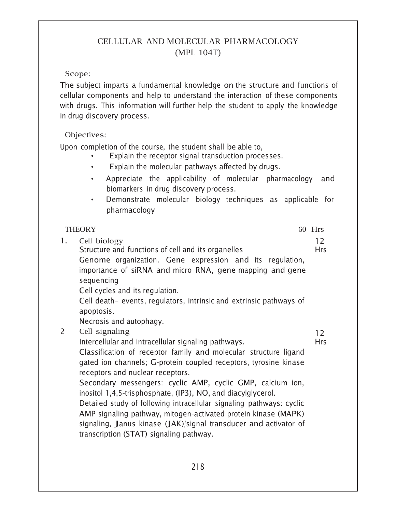# CELLULAR AND MOLECULAR PHARMACOLOGY (MPL 104T)

## Scope:

The subject imparts a fundamental knowledge on the structure and functions of cellular components and help to understand the interaction of these components with drugs. This information will further help the student to apply the knowledge in drug discovery process.

## Objectives:

Upon completion of the course, the student shall be able to,

- Explain the receptor signal transduction processes.
- Explain the molecular pathways affected by drugs.
- Appreciate the applicability of molecular pharmacology and biomarkers in drug discovery process.
- Demonstrate molecular biology techniques as applicable for pharmacology

#### THEORY 60 Hrs 1. Cell biology Structure and functions of cell and its organelles Genome organization. Gene expression and its regulation, importance of siRNA and micro RNA, gene mapping and gene sequencing Cell cycles and its regulation. Cell death– events, regulators, intrinsic and extrinsic pathways of apoptosis. Necrosis and autophagy. 2 Cell signaling Intercellular and intracellular signaling pathways. Classification of receptor family and molecular structure ligand gated ion channels; G-protein coupled receptors, tyrosine kinase receptors and nuclear receptors. Secondary messengers: cyclic AMP, cyclic GMP, calcium ion, inositol 1,4,5-trisphosphate, (IP3),  $NO$ , and diacylglycerol. Detailed study of following intracellular signaling pathways: cyclic AMP signaling pathway, mitogen-activated protein kinase (MAPK) signaling, Janus kinase (JAK)/signal transducer and activator of transcription (STAT) signaling pathway.  $12<sup>°</sup>$ Hrs  $12<sup>2</sup>$ Hrs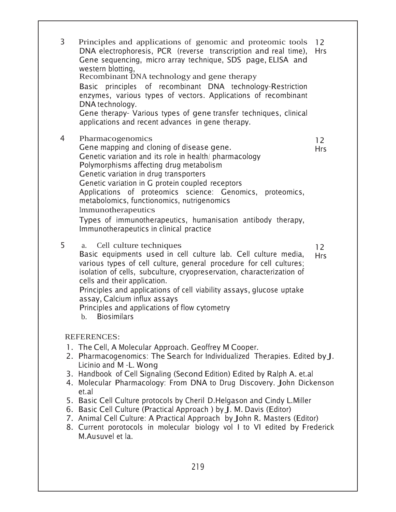| 3 | Principles and applications of genomic and proteomic tools<br>DNA electrophoresis, PCR (reverse transcription and real time),<br>Gene sequencing, micro array technique, SDS page, ELISA and<br>western blotting.<br>Recombinant DNA technology and gene therapy<br>Basic principles of recombinant DNA technology-Restriction<br>enzymes, various types of vectors. Applications of recombinant<br>DNA technology.<br>Gene therapy- Various types of gene transfer techniques, clinical<br>applications and recent advances in gene therapy.                                                                                                                                    | 12<br><b>Hrs</b>                |
|---|----------------------------------------------------------------------------------------------------------------------------------------------------------------------------------------------------------------------------------------------------------------------------------------------------------------------------------------------------------------------------------------------------------------------------------------------------------------------------------------------------------------------------------------------------------------------------------------------------------------------------------------------------------------------------------|---------------------------------|
| 4 | Pharmacogenomics<br>Gene mapping and cloning of disease gene.<br>Genetic variation and its role in health/ pharmacology<br>Polymorphisms affecting drug metabolism<br>Genetic variation in drug transporters<br>Genetic variation in G protein coupled receptors<br>Applications of proteomics science: Genomics, proteomics,<br>metabolomics, functionomics, nutrigenomics<br>Immunotherapeutics<br>Types of immunotherapeutics, humanisation antibody therapy,<br>Immunotherapeutics in clinical practice                                                                                                                                                                      | $12 \overline{ }$<br><b>Hrs</b> |
| 5 | Cell culture techniques<br>a.<br>Basic equipments used in cell culture lab. Cell culture media,<br>various types of cell culture, general procedure for cell cultures;<br>isolation of cells, subculture, cryopreservation, characterization of<br>cells and their application.<br>Principles and applications of cell viability assays, glucose uptake<br>assay, Calcium influx assays<br>Principles and applications of flow cytometry<br>b. Biosimilars                                                                                                                                                                                                                       | $12 \overline{ }$<br><b>Hrs</b> |
|   | <b>REFERENCES:</b><br>1. The Cell, A Molecular Approach. Geoffrey M Cooper.<br>2. Pharmacogenomics: The Search for Individualized Therapies. Edited by J.<br>Licinio and M -L. Wong<br>3. Handbook of Cell Signaling (Second Edition) Edited by Ralph A. et.al<br>4. Molecular Pharmacology: From DNA to Drug Discovery. John Dickenson<br>et.al<br>5. Basic Cell Culture protocols by Cheril D.Helgason and Cindy L.Miller<br>6. Basic Cell Culture (Practical Approach ) by J. M. Davis (Editor)<br>7. Animal Cell Culture: A Practical Approach by John R. Masters (Editor)<br>8. Current porotocols in molecular biology vol I to VI edited by Frederick<br>M.Ausuvel et la. |                                 |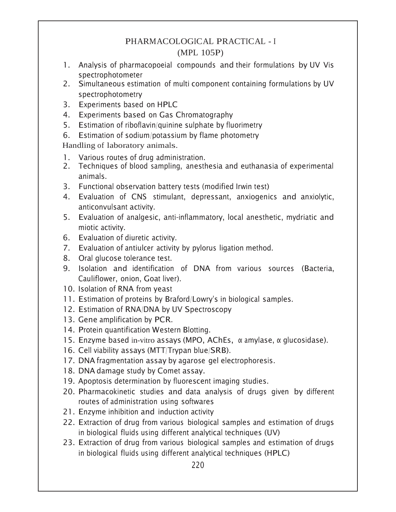# PHARMACOLOGICAL PRACTICAL - <sup>I</sup> (MPL 105P)

- 1. Analysis of pharmacopoeial compounds and their formulations by UV Vis spectrophotometer
- 2. Simultaneous estimation of multi component containing formulations by UV spectrophotometry
- 3. Experiments based on HPLC
- 4. Experiments based on Gas Chromatography
- 5. Estimation of riboflavin/quinine sulphate by fluorimetry
- 6. Estimation of sodium/potassium by flame photometry

Handling of laboratory animals.

- 1. Various routes of drug administration.
- 2. Techniques of blood sampling, anesthesia and euthanasia of experimental animals.
- 3. Functional observation battery tests (modified Irwin test)
- 4. Evaluation of CNS stimulant, depressant, anxiogenics and anxiolytic, anticonvulsant activity.
- 5. Evaluation of analgesic, anti-inflammatory, local anesthetic, mydriatic and miotic activity.
- 6. Evaluation of diuretic activity.
- 7. Evaluation of antiulcer activity by pylorus ligation method.
- 8. Oral glucose tolerance test.
- 9. Isolation and identification of DNA from various sources (Bacteria, Cauliflower, onion, Goat liver).
- 10. Isolation of RNA from yeast
- 11. Estimation of proteins by Braford/Lowry's in biological samples.
- 12. Estimation of RNA/DNA by UV Spectroscopy
- 13. Gene amplification by PCR.
- 14. Protein quantification Western Blotting.
- 15. Enzyme based in-vitro assays (MPO, AChEs,  $\alpha$  amylase,  $\alpha$  glucosidase).
- 16. Cell viability assays (MTT/Trypan blue/SRB).
- 17. DNA fragmentation assay by agarose gel electrophoresis.
- 18. DNA damage study by Comet assay.
- 19. Apoptosis determination by fluorescent imaging studies.
- 20. Pharmacokinetic studies and data analysis of drugs given by different routes of administration using softwares
- 21. Enzyme inhibition and induction activity
- 22. Extraction of drug from various biological samples and estimation of drugs in biological fluids using different analytical techniques (UV)
- 23. Extraction of drug from various biological samples and estimation of drugs in biological fluids using different analytical techniques (HPLC)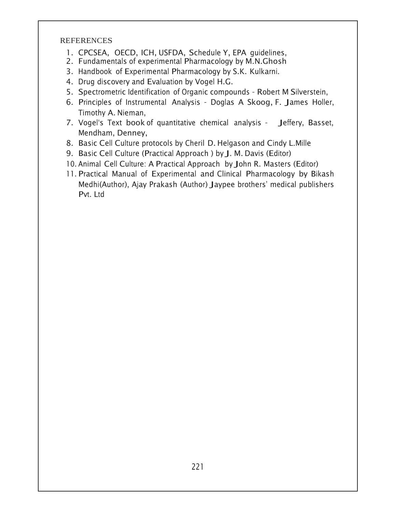- 1. CPCSEA, OECD, ICH, USFDA, Schedule Y, EPA quidelines,
- 2. Fundamentals of experimental Pharmacology by M.N.Ghosh
- 3. Handbook of Experimental Pharmacology by S.K. Kulkarni.
- 4. Drug discovery and Evaluation by Vogel H.G.
- 5. Spectrometric Identification of Organic compounds Robert M Silverstein,
- 6. Principles of Instrumental Analysis Doglas A Skoog, F. James Holler, Timothy A. Nieman,
- 7. Vogel's Text book of quantitative chemical analysis Jeffery, Basset, Mendham, Denney,
- 8. Basic Cell Culture protocols by Cheril D. Helgason and Cindy L. Mille
- 9. Basic Cell Culture (Practical Approach ) by J. M. Davis (Editor)
- 10. Animal Cell Culture: A Practical Approach by John R. Masters (Editor)
- 11. Practical Manual of Experimental and Clinical Pharmacology by Bikash Medhi(Author), Ajay Prakash (Author) Jaypee brothers' medical publishers Pvt. Ltd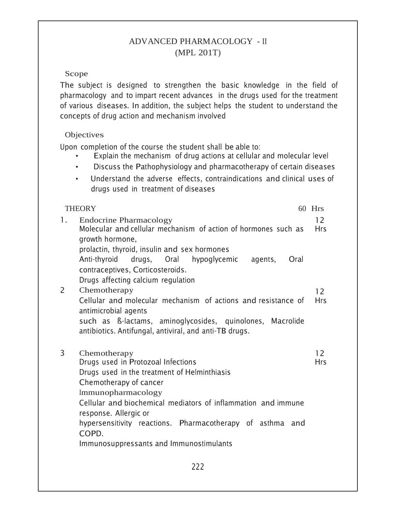# ADVANCED PHARMACOLOGY - II (MPL 201T)

## Scope

The subject is designed to strengthen the basic knowledge in the field of pharmacology and to impart recent advances in the drugs used for the treatment of various diseases. In addition, the subject helps the student to understand the concepts of drug action and mechanism involved

## Objectives

Upon completion of the course the student shall be able to:

- Explain the mechanism of drug actions at cellular and molecular level
- Discuss the Pathophysiology and pharmacotherapy of certain diseases
- Understand the adverse effects, contraindications and clinical uses of  $\bullet$ drugs used in treatment of diseases

| <b>THEORY</b> |                                                                                                                                                                                                                                                                                                                                                               | 60 Hrs           |
|---------------|---------------------------------------------------------------------------------------------------------------------------------------------------------------------------------------------------------------------------------------------------------------------------------------------------------------------------------------------------------------|------------------|
| 1.            | <b>Endocrine Pharmacology</b><br>Molecular and cellular mechanism of action of hormones such as<br>growth hormone,<br>prolactin, thyroid, insulin and sex hormones<br>Anti-thyroid<br>drugs, Oral hypoglycemic agents,<br>Oral<br>contraceptives, Corticosteroids.<br>Drugs affecting calcium regulation                                                      | 12<br><b>Hrs</b> |
| 2             | Chemotherapy<br>Cellular and molecular mechanism of actions and resistance of<br>antimicrobial agents<br>such as B-lactams, aminoglycosides, quinolones, Macrolide<br>antibiotics. Antifungal, antiviral, and anti-TB drugs.                                                                                                                                  | 12<br><b>Hrs</b> |
| 3             | Chemotherapy<br>Drugs used in Protozoal Infections<br>Drugs used in the treatment of Helminthiasis<br>Chemotherapy of cancer<br>Immunopharmacology<br>Cellular and biochemical mediators of inflammation and immune<br>response. Allergic or<br>hypersensitivity reactions. Pharmacotherapy of asthma and<br>COPD.<br>Immunosuppressants and Immunostimulants | 12<br><b>Hrs</b> |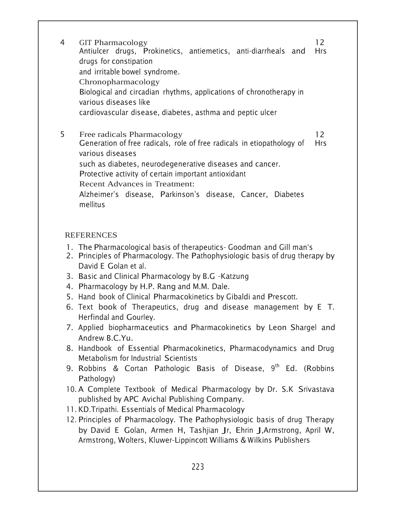GIT Pharmacology Antiulcer drugs, Prokinetics, antiemetics, anti-diarrheals and drugs for constipation and irritable bowel syndrome. Chronopharmacology Biological and circadian rhythms, applications of chronotherapy in various diseases like cardiovascular disease, diabetes, asthma and peptic ulcer  $12<sup>°</sup>$ Hrs

5 Free radicals Pharmacology Generation of free radicals, role of free radicals in etiopathology of various diseases such as diabetes, neurodegenerative diseases and cancer. Protective activity of certain important antioxidant Recent Advances in Treatment: Alzheimer's disease, Parkinson's disease, Cancer, Diabetes mellitus  $12<sup>°</sup>$ Hrs

- 1. The Pharmacological basis of therapeutics- Goodman and Gill man's
- 2. Principles of Pharmacology. The Pathophysiologic basis of drug therapy by David E Golan et al.
- 3. Basic and Clinical Pharmacology by B.G -Katzung
- 4. Pharmacology by H.P. Rang and M.M. Dale.
- 5. Hand book of Clinical Pharmacokinetics by Gibaldi and Prescott.
- $6.$  Text book of Therapeutics, drug and disease management by E T. Herfindal and Gourley.
- 7. Applied biopharmaceutics and Pharmacokinetics by Leon Shargel and Andrew B.C.Yu.
- 8. Handbook of Essential Pharmacokinetics, Pharmacodynamics and Drug Metabolism for Industrial Scientists
- 9. Robbins & Cortan Pathologic Basis of Disease, 9<sup>th</sup> Ed. (Robbins Pathology)
- 10. A Complete Textbook of Medical Pharmacology by Dr. S.K Srivastava published by APC Avichal Publishing Company.
- 11. KD. Tripathi. Essentials of Medical Pharmacology
- 12. Principles of Pharmacology. The Pathophysiologic basis of drug Therapy by David E Golan, Armen H, Tashjian Jr, Ehrin J,Armstrong, April W, Armstrong, Wolters, Kluwer-Lippincott Williams & Wilkins Publishers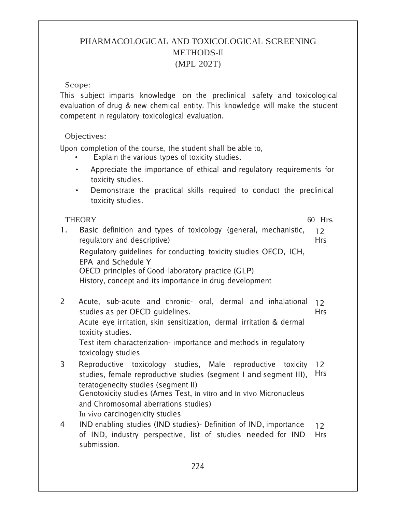# PHARMACOLOGICAL AND TOXICOLOGICAL SCREENING METHODS-II (MPL 202T)

#### Scope:

This subject imparts knowledge on the preclinical safety and toxicological evaluation of drug & new chemical entity. This knowledge will make the student competent in regulatory toxicological evaluation.

## Objectives:

Upon completion of the course, the student shall be able to,

- Explain the various types of toxicity studies.
- Appreciate the importance of ethical and regulatory requirements for toxicity studies.
- Demonstrate the practical skills required to conduct the preclinical toxicity studies.

# THEORY 60 Hrs

- 1. Basic definition and types of toxicology (general, mechanistic, regulatory and descriptive) Regulatory guidelines for conducting toxicity studies OECD, ICH, EPA and Schedule Y OECD principles of Good laboratory practice (GLP) History, concept and its importance in drug development  $12<sup>°</sup>$ Hrs
- 2 Acute, sub-acute and chronic- oral, dermal and inhalational studies as per OECD quidelines. Acute eye irritation, skin sensitization, dermal irritation & dermal toxicity studies. Test item characterization- importance and methods in regulatory toxicology studies  $12$ Hrs
- 3 Reproductive toxicology studies, Male reproductive toxicity studies, female reproductive studies (segment I and segment III), teratogenecity studies (segment II) Genotoxicity studies (Ames Test, in vitro and in vivo Micronucleus and Chromosomal aberrations studies) In vivo carcinogenicity studies  $12 \overline{ }$ Hrs
- 4 IND enabling studies (IND studies)- Definition of IND, importance of IND, industry perspective, list of studies needed-for IND submission.  $12<sup>°</sup>$ Hrs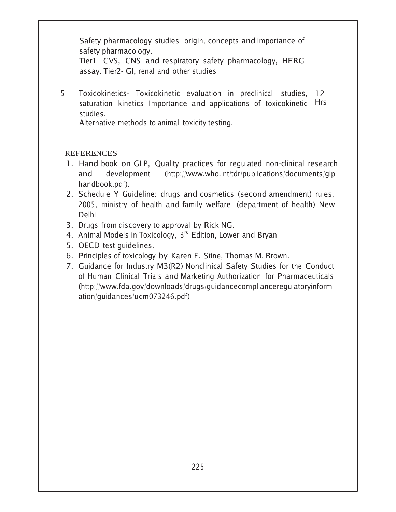Safety pharmacology studies- origin, concepts and importance of safety pharmacology.

Tier1- CVS, CNS and respiratory safety pharmacology, HERG assay. Tier2- GI, renal and other studies

5 Toxicokinetics- Toxicokinetic evaluation in preclinical studies, 12 saturation kinetics Importance and applications of toxicokinetic Hrs studies.

Alternative methods to animal toxicity testing.

- 1. Hand book on GLP, Quality practices for regulated non-clinical research and development (http://www.who.int/tdr/publications/documents/glphandbook.pdf).
- 2. Schedule Y Guideline: drugs and cosmetics (second amendment) rules, 2005, ministry of health and family welfare (department of health) New Delhi
- 3. Drugs from discovery to approval by Rick NG.
- 4. Animal Models in Toxicology, 3<sup>rd</sup> Edition, Lower and Bryan
- 5. OECD test quidelines.
- 6. Principles of toxicology by Karen E. Stine, Thomas M. Brown.
- 7. Guidance for Industry M3(R2) Nonclinical Safety Studies for the Conduct of Human Clinical Trials and Marketing Authorization for Pharmaceuticals (http://www.fda.gov/downloads/drugs/guidancecomplianceregulatoryinform ation/guidances/ucm073246.pdf)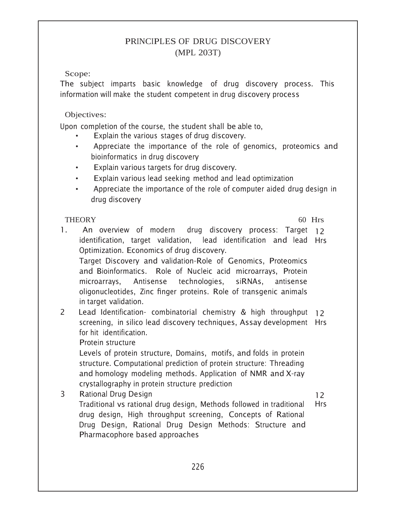# PRINCIPLES OF DRUG DISCOVERY (MPL 203T)

Scope:

The subject imparts basic knowledge of drug discovery process. This information will make the student competent in drug discovery process

Objectives:

Upon completion of the course, the student shall be able to,

- Explain the various stages of drug discovery.
- Appreciate the importance of the role of genomics, proteomics and bioinformatics in drug discovery
- Explain various targets for drug discovery.
- Explain various lead seeking method and lead optimization
- Appreciate the importance of the role of computer aided drug design in drug discovery

## THEORY 60 Hrs

1. An overview of modern drug discovery process: Target 12 identification, target validation, lead identification and lead Hrs Optimization. Economics of drug discovery. Target Discovery and validation-Role of Genomics, Proteomics and Bioinformatics. Role of Nucleic acid microarrays, Protein microarrays. Antisense technologies. siRNAs. antisense oligonucleotides, Zinc finger proteins. Role of transgenic animals in target validation. 2 Lead Identification- combinatorial chemistry & high throughput 12 screening, in silico lead discovery techniques, Assay development Hrs for hit identification.

Protein structure

Levels of protein structure, Domains, motifs, and folds in protein structure. Computational prediction of protein structure: Threading and homology modeling methods. Application of NMR and X-ray crystallography in protein structure prediction

3 Rational Drug Design Traditional vs rational drug design, Methods followed in traditional drug design, High throughput screening, Concepts of Rational Drug Design, Rational Drug Design Methods: Structure and Pharmacophore based approaches  $12<sup>2</sup>$ Hrs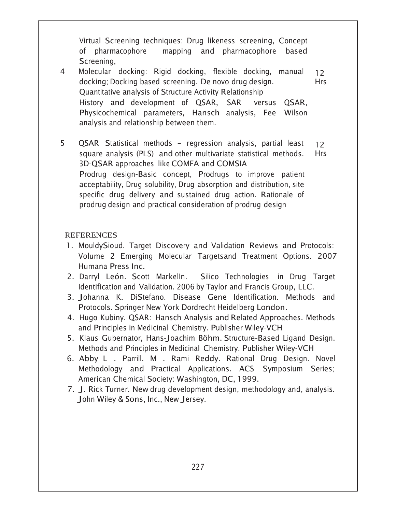Virtual Screening techniques: Drug likeness screening, Concept of pharmacophore mapping and pharmacophore based Screening.

- 4 Molecular docking: Rigid docking, flexible docking, manual docking; Docking based screening. De novo drug design. Quantitative analysis of Structure Activity Relationship History and development of QSAR, SAR SAR versus QSAR, Physicochemical parameters, Hansch analysis, Fee Wilson analysis and relationship between them.  $12 \overline{ }$ Hrs
- 5 QSAR Statistical methods regression analysis, partial least square analysis (PLS) and other multivariate statistical methods. 3D-QSAR approaches like COMFA and COMSIA Prodrug design-Basic concept, Prodrugs to improve patient acceptability, Drug solubility, Drug absorption and distribution, site specific drug delivery and sustained drug action. Rationale of prodrug design and practical consideration of prodrug design  $12<sup>°</sup>$ Hrs

- 1. MouldySioud. Target Discovery and Validation Reviews and Protocols: Volume 2 Emerging Molecular Targetsand Treatment Options. 2007 Humana Press Inc.
- 2. Darryl León. Scott Markelln. Silico Technologies in Drug Target Identification and Validation. 2006 by Taylor and Francis Group, LLC.
- 3. Johanna K. DiStefano. Disease Gene Identification. Methods and Protocols. Springer New York Dordrecht Heidelberg London.
- 4. Hugo Kubiny. QSAR: Hansch Analysis and Related Approaches. Methods and Principles in Medicinal Chemistry. Publisher Wiley-VCH
- 5. Klaus Gubernator, Hans-Joachim Böhm. Structure-Based Ligand Design. Methods and Principles in Medicinal Chemistry. Publisher Wiley-VCH
- 6. Abby L . Parrill. M . Rami Reddy. Rational Drug Design. Novel Methodology and Practical Applications. ACS Symposium Series; American Chemical Society: Washington, DC, 1999.
- 7. J. Rick Turner. New drug development design, methodology and, analysis. John Wiley & Sons, Inc., New Jersey.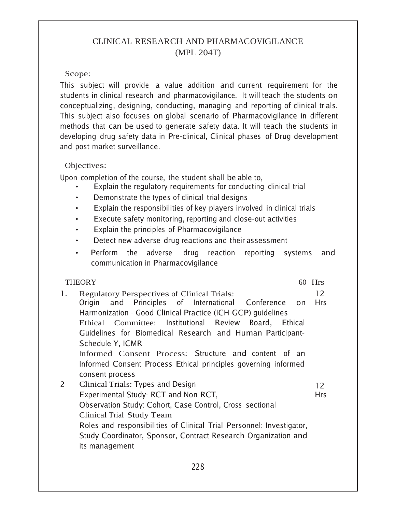# CLINICAL RESEARCH AND PHARMACOVIGILANCE (MPL 204T)

## Scope:

This subject will provide a value addition and current requirement for the students in clinical research and pharmacovigilance. It will teach the students on conceptualizing, designing, conducting, managing and reporting of clinical trials. This subject also focuses on global scenario of Pharmacovigilance in different methods that can be used to generate safety data. It will teach the students in developing drug safety data in Pre-clinical, Clinical phases of Drug development and post market surveillance.

## Objectives:

Upon completion of the course, the student shall be able to,

- Explain the regulatory requirements for conducting clinical trial
- Demonstrate the types of clinical trial designs  $\bullet$
- Explain the responsibilities of key players involved in clinical trials
- Execute safety monitoring, reporting and close-out activities  $\bullet$
- Explain the principles of Pharmacovigilance  $\bullet$
- Detect new adverse drug reactions and their assessment  $\bullet$
- Perform the adverse drug reaction reporting systems and communication in Pharmacovigilance

## **THEORY**

 $60$  Hrs

 $1<sup>1</sup>$ **Regulatory Perspectives of Clinical Trials:**  $12<sup>°</sup>$ of International Origin and Principles Conference on Hrs Harmonization - Good Clinical Practice (ICH-GCP) quidelines Ethical Committee: Institutional Review Board, Ethical Guidelines for Biomedical Research and Human Participant-Schedule Y, ICMR Informed Consent Process: Structure and content of an Informed Consent Process Ethical principles governing informed consent process  $\overline{2}$ Clinical Trials: Types and Design  $12<sup>°</sup>$ Experimental Study-RCT and Non RCT, **Hrs** Observation Study: Cohort, Case Control, Cross sectional Clinical Trial Study Team Roles and responsibilities of Clinical Trial Personnel: Investigator, Study Coordinator, Sponsor, Contract Research Organization and its management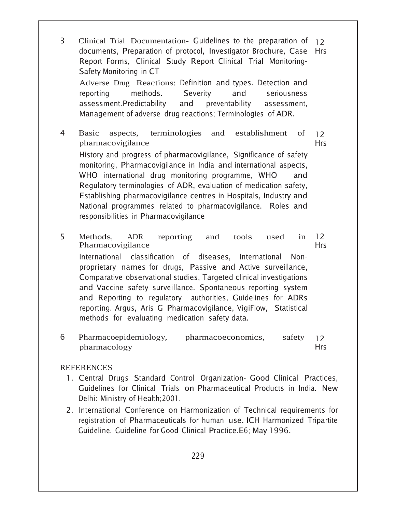3 Clinical Trial Documentation- Guidelines to the preparation of 12 documents, Preparation of protocol, Investigator Brochure, Case Hrs Report Forms, Clinical Study Report Clinical Trial Monitoring-Safety Monitoring in CT Adverse Drug Reactions: Definition and types. Detection and reporting methods. Severity and seriousness assessment. Predictability and preventability assessment, Management of adverse drug reactions; Terminologies of ADR. Basic aspects, terminologies and establishment of pharmacovigilance  $12<sup>°</sup>$ Hrs

History and progress of pharmacovigilance, Significance of safety monitoring, Pharmacovigilance in India and international aspects, WHO international drug monitoring programme, WHO  $\quad$  and Regulatory terminologies of ADR, evaluation of medication safety, Establishing pharmacovigilance centres in Hospitals, Industry and National programmes related to pharmacovigilance. Roles and responsibilities in Pharmacovigilance

- Methods, ADR reporting and tools used in Pharmacovigilance International classification of diseases, International Nonproprietary names for drugs, Passive and Active surveillance, Comparative observational studies, Targeted clinical investigations and Vaccine safety surveillance. Spontaneous reporting system and Reporting to regulatory authorities, Guidelines for ADRs reporting. Argus, Aris G Pharmacovigilance, VigiFlow, Statistical methods for evaluating medication safety data.  $12 \overline{ }$ Hrs
- Pharmacoepidemiology, pharmacoeconomics, safety pharmacology  $12<sup>°</sup>$ Hrs

- 1. Central Drugs Standard Control Organization- Good Clinical Practices, Guidelines for Clinical Trials on Pharmaceutical Products in India. New Delhi: Ministry of Health; 2001.
- 2. International Conference on Harmonization of Technical requirements for registration of Pharmaceuticals for human use. ICH Harmonized Tripartite Guideline. Guideline for Good Clinical Practice. E6; May 1996.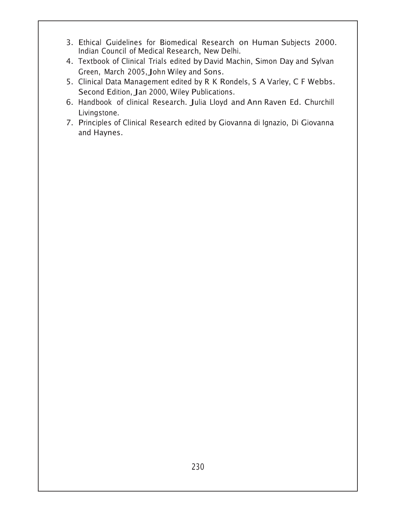- 3. Ethical Guidelines for Biomedical Research on Human Subjects 2000. Indian Council of Medical Research, New Delhi.
- 4. Textbook of Clinical Trials edited by David Machin, Simon Day and Sylvan Green, March 2005, John Wiley and Sons.
- 5. Clinical Data Management edited by R K Rondels, S A Varley, C F Webbs. Second Edition, Jan 2000, Wiley Publications.
- 6. Handbook of clinical Research. Julia Lloyd and Ann Raven Ed. Churchill Livingstone.
- 7. Principles of Clinical Research edited by Giovanna di Ignazio, Di Giovanna and Haynes.